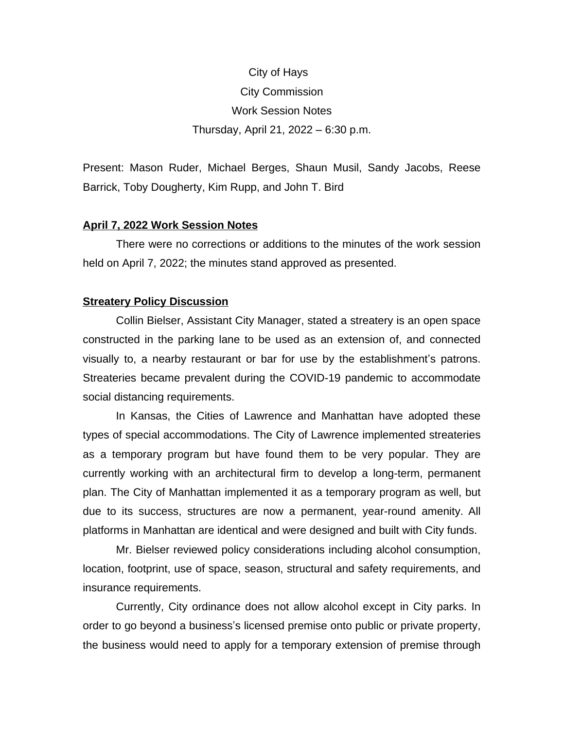# City of Hays City Commission Work Session Notes Thursday, April 21, 2022 – 6:30 p.m.

Present: Mason Ruder, Michael Berges, Shaun Musil, Sandy Jacobs, Reese Barrick, Toby Dougherty, Kim Rupp, and John T. Bird

#### **April 7, 2022 Work Session Notes**

There were no corrections or additions to the minutes of the work session held on April 7, 2022; the minutes stand approved as presented.

#### **Streatery Policy Discussion**

Collin Bielser, Assistant City Manager, stated a streatery is an open space constructed in the parking lane to be used as an extension of, and connected visually to, a nearby restaurant or bar for use by the establishment's patrons. Streateries became prevalent during the COVID-19 pandemic to accommodate social distancing requirements.

In Kansas, the Cities of Lawrence and Manhattan have adopted these types of special accommodations. The City of Lawrence implemented streateries as a temporary program but have found them to be very popular. They are currently working with an architectural firm to develop a long-term, permanent plan. The City of Manhattan implemented it as a temporary program as well, but due to its success, structures are now a permanent, year-round amenity. All platforms in Manhattan are identical and were designed and built with City funds.

Mr. Bielser reviewed policy considerations including alcohol consumption, location, footprint, use of space, season, structural and safety requirements, and insurance requirements.

Currently, City ordinance does not allow alcohol except in City parks. In order to go beyond a business's licensed premise onto public or private property, the business would need to apply for a temporary extension of premise through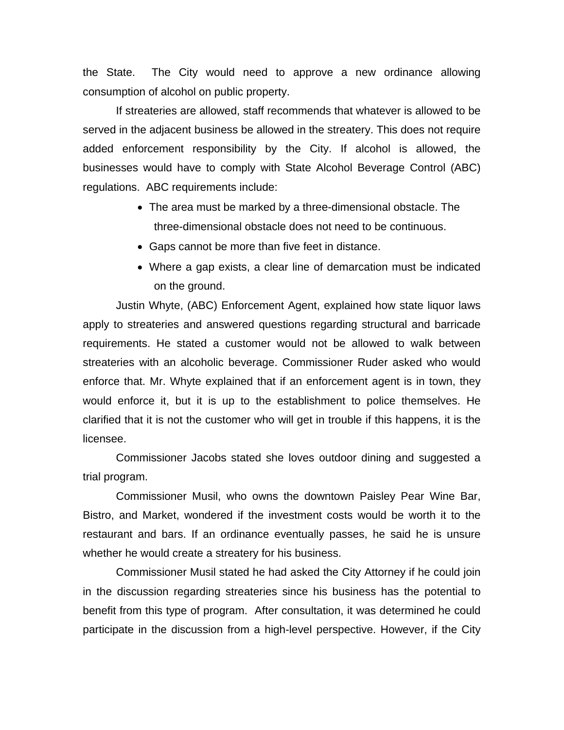the State. The City would need to approve a new ordinance allowing consumption of alcohol on public property.

If streateries are allowed, staff recommends that whatever is allowed to be served in the adjacent business be allowed in the streatery. This does not require added enforcement responsibility by the City. If alcohol is allowed, the businesses would have to comply with State Alcohol Beverage Control (ABC) regulations. ABC requirements include:

- The area must be marked by a three-dimensional obstacle. The three-dimensional obstacle does not need to be continuous.
- Gaps cannot be more than five feet in distance.
- Where a gap exists, a clear line of demarcation must be indicated on the ground.

Justin Whyte, (ABC) Enforcement Agent, explained how state liquor laws apply to streateries and answered questions regarding structural and barricade requirements. He stated a customer would not be allowed to walk between streateries with an alcoholic beverage. Commissioner Ruder asked who would enforce that. Mr. Whyte explained that if an enforcement agent is in town, they would enforce it, but it is up to the establishment to police themselves. He clarified that it is not the customer who will get in trouble if this happens, it is the licensee.

Commissioner Jacobs stated she loves outdoor dining and suggested a trial program.

Commissioner Musil, who owns the downtown Paisley Pear Wine Bar, Bistro, and Market, wondered if the investment costs would be worth it to the restaurant and bars. If an ordinance eventually passes, he said he is unsure whether he would create a streatery for his business.

Commissioner Musil stated he had asked the City Attorney if he could join in the discussion regarding streateries since his business has the potential to benefit from this type of program. After consultation, it was determined he could participate in the discussion from a high-level perspective. However, if the City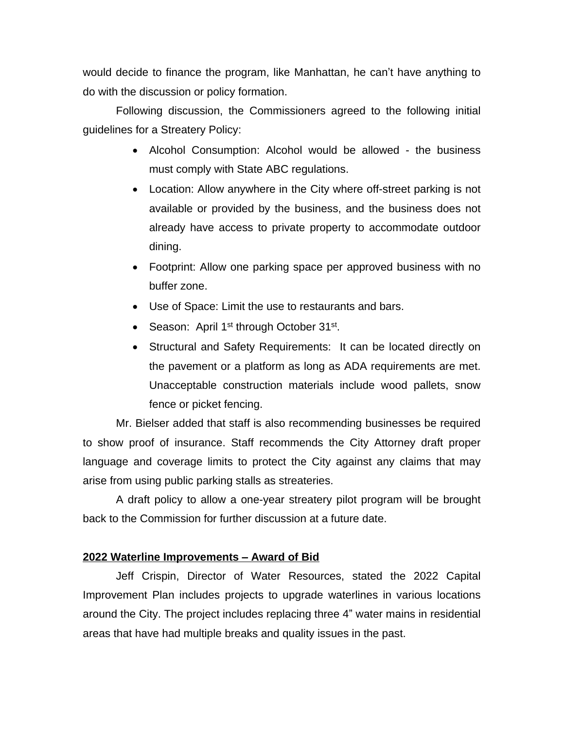would decide to finance the program, like Manhattan, he can't have anything to do with the discussion or policy formation.

Following discussion, the Commissioners agreed to the following initial guidelines for a Streatery Policy:

- Alcohol Consumption: Alcohol would be allowed the business must comply with State ABC regulations.
- Location: Allow anywhere in the City where off-street parking is not available or provided by the business, and the business does not already have access to private property to accommodate outdoor dining.
- Footprint: Allow one parking space per approved business with no buffer zone.
- Use of Space: Limit the use to restaurants and bars.
- Season: April 1<sup>st</sup> through October 31<sup>st</sup>.
- Structural and Safety Requirements: It can be located directly on the pavement or a platform as long as ADA requirements are met. Unacceptable construction materials include wood pallets, snow fence or picket fencing.

Mr. Bielser added that staff is also recommending businesses be required to show proof of insurance. Staff recommends the City Attorney draft proper language and coverage limits to protect the City against any claims that may arise from using public parking stalls as streateries.

A draft policy to allow a one-year streatery pilot program will be brought back to the Commission for further discussion at a future date.

### **2022 Waterline Improvements – Award of Bid**

Jeff Crispin, Director of Water Resources, stated the 2022 Capital Improvement Plan includes projects to upgrade waterlines in various locations around the City. The project includes replacing three 4" water mains in residential areas that have had multiple breaks and quality issues in the past.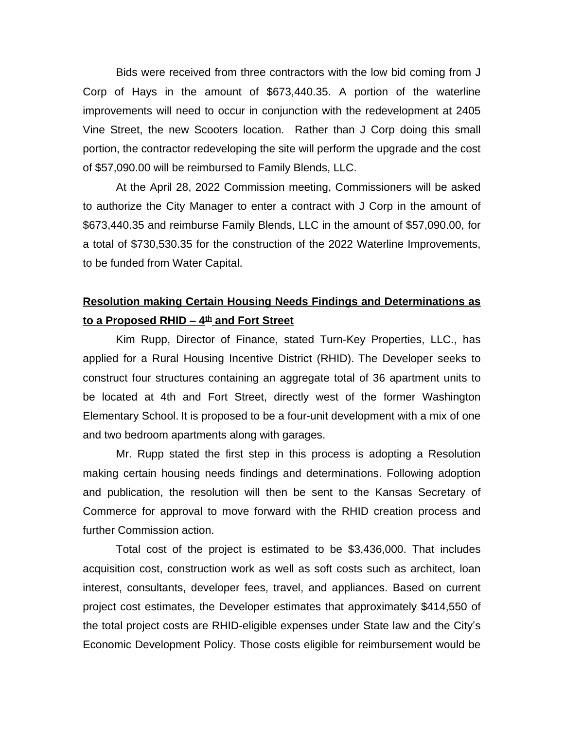Bids were received from three contractors with the low bid coming from J Corp of Hays in the amount of \$673,440.35. A portion of the waterline improvements will need to occur in conjunction with the redevelopment at 2405 Vine Street, the new Scooters location. Rather than J Corp doing this small portion, the contractor redeveloping the site will perform the upgrade and the cost of \$57,090.00 will be reimbursed to Family Blends, LLC.

At the April 28, 2022 Commission meeting, Commissioners will be asked to authorize the City Manager to enter a contract with J Corp in the amount of \$673,440.35 and reimburse Family Blends, LLC in the amount of \$57,090.00, for a total of \$730,530.35 for the construction of the 2022 Waterline Improvements, to be funded from Water Capital.

## **Resolution making Certain Housing Needs Findings and Determinations as to a Proposed RHID – 4th and Fort Street**

Kim Rupp, Director of Finance, stated Turn-Key Properties, LLC., has applied for a Rural Housing Incentive District (RHID). The Developer seeks to construct four structures containing an aggregate total of 36 apartment units to be located at 4th and Fort Street, directly west of the former Washington Elementary School. It is proposed to be a four-unit development with a mix of one and two bedroom apartments along with garages.

Mr. Rupp stated the first step in this process is adopting a Resolution making certain housing needs findings and determinations. Following adoption and publication, the resolution will then be sent to the Kansas Secretary of Commerce for approval to move forward with the RHID creation process and further Commission action.

Total cost of the project is estimated to be \$3,436,000. That includes acquisition cost, construction work as well as soft costs such as architect, loan interest, consultants, developer fees, travel, and appliances. Based on current project cost estimates, the Developer estimates that approximately \$414,550 of the total project costs are RHID-eligible expenses under State law and the City's Economic Development Policy. Those costs eligible for reimbursement would be